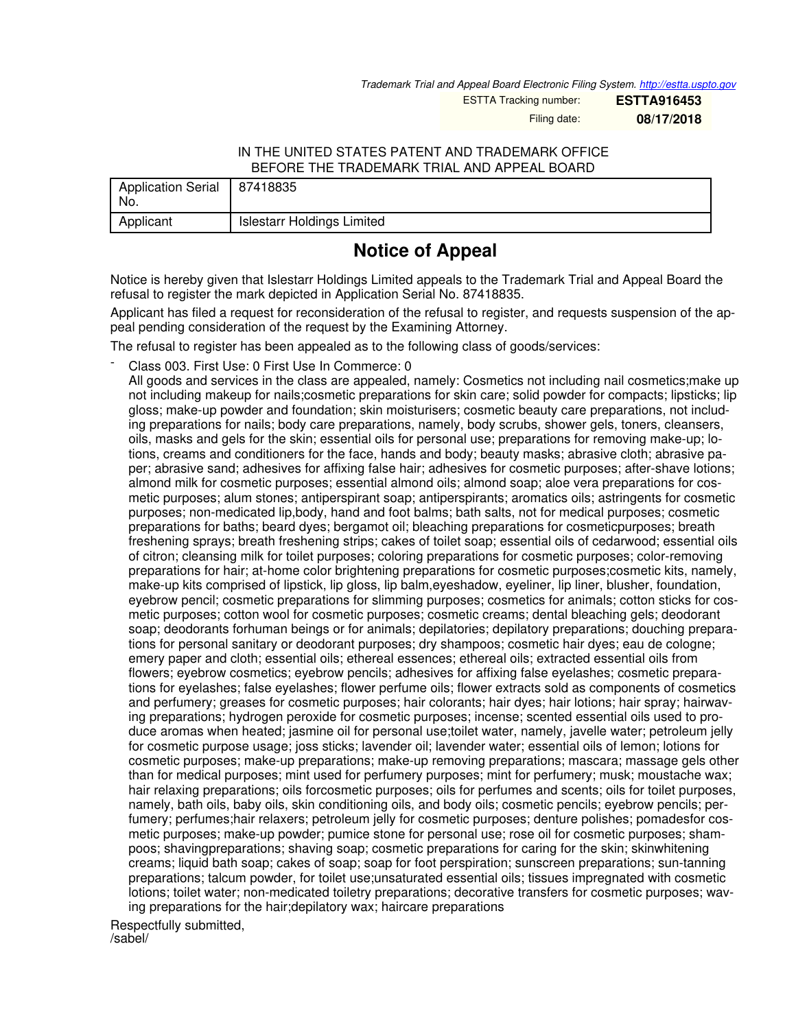*Trademark Trial and Appeal Board Electronic Filing System. <http://estta.uspto.gov>*

ESTTA Tracking number: **ESTTA916453**

Filing date: **08/17/2018**

## IN THE UNITED STATES PATENT AND TRADEMARK OFFICE BEFORE THE TRADEMARK TRIAL AND APPEAL BOARD

| Application Serial   87418835<br>No. |                                   |
|--------------------------------------|-----------------------------------|
| Applicant                            | <b>Islestarr Holdings Limited</b> |

## **Notice of Appeal**

Notice is hereby given that Islestarr Holdings Limited appeals to the Trademark Trial and Appeal Board the refusal to register the mark depicted in Application Serial No. 87418835.

Applicant has filed a request for reconsideration of the refusal to register, and requests suspension of the appeal pending consideration of the request by the Examining Attorney.

The refusal to register has been appealed as to the following class of goods/services:

Class 003. First Use: 0 First Use In Commerce: 0

All goods and services in the class are appealed, namely: Cosmetics not including nail cosmetics;make up not including makeup for nails;cosmetic preparations for skin care; solid powder for compacts; lipsticks; lip gloss; make-up powder and foundation; skin moisturisers; cosmetic beauty care preparations, not including preparations for nails; body care preparations, namely, body scrubs, shower gels, toners, cleansers, oils, masks and gels for the skin; essential oils for personal use; preparations for removing make-up; lotions, creams and conditioners for the face, hands and body; beauty masks; abrasive cloth; abrasive paper; abrasive sand; adhesives for affixing false hair; adhesives for cosmetic purposes; after-shave lotions; almond milk for cosmetic purposes; essential almond oils; almond soap; aloe vera preparations for cosmetic purposes; alum stones; antiperspirant soap; antiperspirants; aromatics oils; astringents for cosmetic purposes; non-medicated lip,body, hand and foot balms; bath salts, not for medical purposes; cosmetic preparations for baths; beard dyes; bergamot oil; bleaching preparations for cosmeticpurposes; breath freshening sprays; breath freshening strips; cakes of toilet soap; essential oils of cedarwood; essential oils of citron; cleansing milk for toilet purposes; coloring preparations for cosmetic purposes; color-removing preparations for hair; at-home color brightening preparations for cosmetic purposes;cosmetic kits, namely, make-up kits comprised of lipstick, lip gloss, lip balm,eyeshadow, eyeliner, lip liner, blusher, foundation, eyebrow pencil; cosmetic preparations for slimming purposes; cosmetics for animals; cotton sticks for cosmetic purposes; cotton wool for cosmetic purposes; cosmetic creams; dental bleaching gels; deodorant soap; deodorants forhuman beings or for animals; depilatories; depilatory preparations; douching preparations for personal sanitary or deodorant purposes; dry shampoos; cosmetic hair dyes; eau de cologne; emery paper and cloth; essential oils; ethereal essences; ethereal oils; extracted essential oils from flowers; eyebrow cosmetics; eyebrow pencils; adhesives for affixing false eyelashes; cosmetic preparations for eyelashes; false eyelashes; flower perfume oils; flower extracts sold as components of cosmetics and perfumery; greases for cosmetic purposes; hair colorants; hair dyes; hair lotions; hair spray; hairwaving preparations; hydrogen peroxide for cosmetic purposes; incense; scented essential oils used to produce aromas when heated; jasmine oil for personal use;toilet water, namely, javelle water; petroleum jelly for cosmetic purpose usage; joss sticks; lavender oil; lavender water; essential oils of lemon; lotions for cosmetic purposes; make-up preparations; make-up removing preparations; mascara; massage gels other than for medical purposes; mint used for perfumery purposes; mint for perfumery; musk; moustache wax; hair relaxing preparations; oils forcosmetic purposes; oils for perfumes and scents; oils for toilet purposes, namely, bath oils, baby oils, skin conditioning oils, and body oils; cosmetic pencils; eyebrow pencils; perfumery; perfumes;hair relaxers; petroleum jelly for cosmetic purposes; denture polishes; pomadesfor cosmetic purposes; make-up powder; pumice stone for personal use; rose oil for cosmetic purposes; shampoos; shavingpreparations; shaving soap; cosmetic preparations for caring for the skin; skinwhitening creams; liquid bath soap; cakes of soap; soap for foot perspiration; sunscreen preparations; sun-tanning preparations; talcum powder, for toilet use;unsaturated essential oils; tissues impregnated with cosmetic lotions; toilet water; non-medicated toiletry preparations; decorative transfers for cosmetic purposes; waving preparations for the hair;depilatory wax; haircare preparations

Respectfully submitted, /sabel/